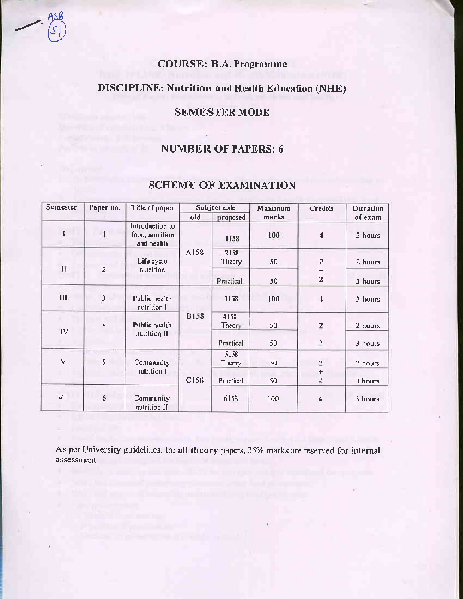# **COURSE: B.A. Programme**

# **DISCIPLINE: Nutrition and Health Education (NHE)**

# **SEMESTER MODE**

# NUMBER OF PAPERS: 6

| Semester                | Paper no.      | Title of paper                                   | Subject code |                | Maximum | <b>Credits</b> | <b>Duration</b> |
|-------------------------|----------------|--------------------------------------------------|--------------|----------------|---------|----------------|-----------------|
|                         |                |                                                  | old          | proposed       | marks   |                | ofexam          |
|                         | $\P$ .         | Introduction to<br>food, nutrition<br>and health |              | 1158           | 100     | 4              | 3 hours         |
| $\mathbf{H}$            | $\overline{2}$ | Life cycle<br>nutrition                          | A158         | 2158<br>Theory | 50      | $\overline{z}$ | 2 hours         |
|                         |                |                                                  |              | Practical      | 50      | $^{+}$<br>2    | 3 hours         |
| $\overline{\mathbf{H}}$ | $\frac{3}{2}$  | Public health<br>nutrition I                     |              | 3158           | 100     | 4              | 3 hours         |
|                         | 4              | Public health                                    | <b>B158</b>  | 4158<br>Theory | 50      | $\frac{2}{1}$  | 2 hours         |
| IV                      |                | nutrition II                                     |              | Practical      | 50      | $\overline{2}$ | 3 hours         |
| V                       | 5              | Community<br>nutrition I                         | C158         | 5158<br>Theory | 50      | 2              | 2 hours         |
|                         |                |                                                  |              | Practical      | 50      | $\ddot{}$<br>2 | 3 hours         |
| VI                      | 6              | Community<br>nutrition II                        |              | 6158           | 100     | 4              | 3 hours         |

# **SCHEME OF EXAMINATION**

As per University guidelines, for all theory papers, 25% marks are reserved for internal assessment.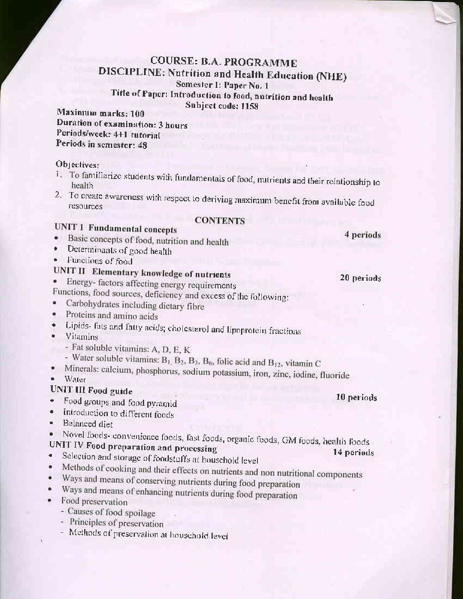# **COURSE: B.A. PROGRAMME DISCIPLINE: Nutrition and Health Education (NHE)** Semester I: Paper No. 1 Title of Paper: Introduction to food, nutrition and health Subject code: 1158

Maximum marks: 100 Duration of examination: 3 hours Periods/week: 4+1 tutorial Periods in semester: 48

#### Objectives:

- 1. To familiarize students with fundamentals of food, nutrients and their relationship to health
- 2. To create awareness with respect to deriving maximum benefit from available food **resources**

#### **CONTENTS**

# **UNIT 1 Fundamental concepts**

- · Basic concepts of food, nutrition and health
- Determinants of good health
- Functions of food

# UNIT II Elementary knowledge of nutrients

Energy-factors affecting energy requirements

- Functions, food sources, deficiency and excess of the following:
- Carbohydrates including dietary fibre  $\bullet$
- Proteins and amino acids  $\bullet$
- · Lipids- fats and fatty acids; cholesterol and lipoprotein fractions
- Vitamins
	- Fat soluble vitamins: A, D, E, K
- Water soluble vitamins:  $B_1$ ,  $B_2$ ,  $B_3$ ,  $B_6$ , folic acid and  $B_{12}$ , vitamin C
- · Minerals: calcium, phosphorus, sodium potassium, iron, zinc, iodine, fluoride
- $\bullet$  Water

# **UNIT III Food guide**

- Food groups and food pyramid  $\bullet$  .
- Introduction to different foods  $\bullet$
- · Balanced diet

Novel foods- convenience foods, fast foods, organic foods, GM foods, health foods ٠

#### UNIT IV Food preparation and processing  $\bullet$

- Selection and storage of foodstuffs at household level  $\bullet$
- Methods of cooking and their effects on nutrients and non nutritional components
- Ways and means of conserving nutrients during food preparation  $\bullet$
- Ways and means of enhancing nutrients during food preparation  $\bullet$
- Food preservation
	- Causes of food spoilage
	- Principles of preservation
	- Methods of preservation at household level

10 periods

14 periods

4 periods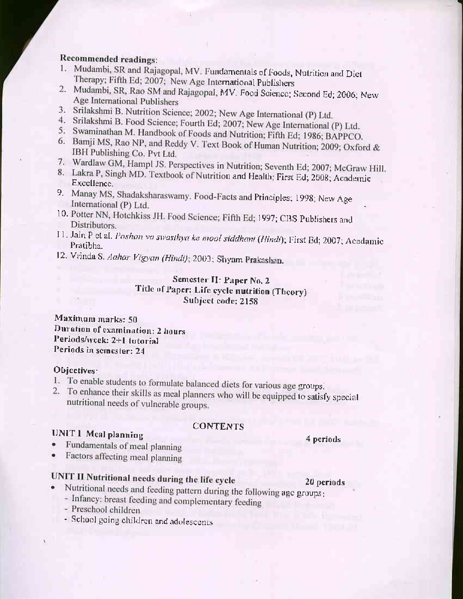# Recommended readings:

- 1. Mudambi, SR and Rajagopal, MV. Fundamentals of Foods, Nutrition and Diet Therapy; Fifth Ed; 2007; New Age International Publishers
- 2. Mudambi, SR, Rao SM and Rajagopal, MV. Food Science; Second Ed; 2006; New Age International Publishers
- 3. Srilakshmi B. Nutrition Science; 2002; New Age International (P) Ltd.
- 4. Srilakshmi B. Food Science; Fourth Ed; 2007; New Age International (P) Ltd.
- 5. Swaminathan M. Handbook of Foods and Nutrition; Fifth Ed; 1986; BAPPCO.
- 6. Bamji MS, Rao NP, and Reddy V. Text Book of Human Nutrition; 2009; Oxford & IBH Publishing Co. Pvt Ltd.
- 7. Wardlaw GM, Hampl JS. Perspectives in Nutrition; Seventh Ed; 2007; McGraw Hill.
- 8. Lakra P, Singh MD. Textbook of Nutrition and Health; First Ed; 2008; Academic Excellence.
- 9. Manay MS, Shadaksharaswamy. Food-Facts and Principles; 1998; New Age International (P) Ltd.
- 10. Potter NN, Hotchkiss JH. Food Science; Fifth Ed; 1997; CBS Publishers and Distributors.
- 11. Jain P et al. Poshan va swasthya ke mool siddhant (Hindi); First Ed; 2007; Acadamic Pratibha.
- 12. Vrinda S. Aahar Vigyan (Hindi); 2003; Shyam Prakashan.

## Sentester II: Paper No. 2 Title of Paper: Life cycle nutrition (Theory) Subject code: 2158

### Maximum marks: 50 Duration of examination: 2 hours Periods/wcek: 2+1 tutorial Periods in semester: 24

#### Objectives:

- 1. To enable students to formulate balanced diets for various age groups.
- 2. To enhance their skills as meal planners who will be equipped to satisfy special nutritional needs of vulnerable groups.

# **UNIT 1 Meal planning**

### **CONTENTS**

# Fundamentals of meal planning

Factors affecting meal planning

# UNIT II Nutritional needs during the life cycle

- 20 periods Nutritional needs and feeding pattern during the following age groups; - Infancy: breast feeding and complementary feeding
	- Preschool children
	- School going children and adolescents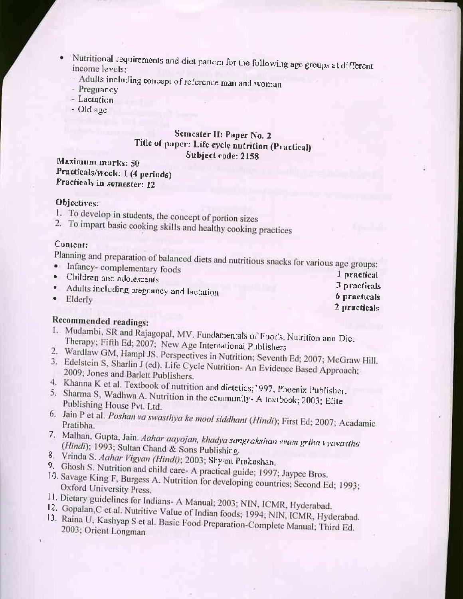- Nutritional requirements and diet pattern for the following age groups at different income levels:
	- Adults including concept of reference man and woman
	- Pregnancy
	- Lactation
	- Old age

## Semester II: Paper No. 2 Title of paper: Life cycle nutrition (Practical) Subject code: 2158

## Maximum marks: 50 Practicals/week: 1 (4 periods) Practicals in semester: 12

### Objectives:

- 1. To develop in students, the concept of portion sizes
- 2. To impart basic cooking skills and healthy cooking practices

#### Content:

Planning and preparation of balanced diets and nutritious snacks for various age groups:

· Infancy-complementary foods 1 practical • Children and adolescents Adults including pregnancy and lactation  $\bullet$ Elderly

# Recommended readings:

- 1. Mudambi, SR and Rajagopal, MV. Fundamentals of Foods, Nutrition and Diet Therapy; Fifth Ed; 2007; New Age International Publishers
- 
- 2. Wardlaw GM, Hampl JS. Perspectives in Nutrition; Seventh Ed; 2007; McGraw Hill. 3. Edelstein S, Sharlin J (ed). Life Cycle Nutrition- An Evidence Based Approach; 2009; Jones and Barlett Publishers.
- 
- 4. Khanna K et al. Textbook of nutrition and dietetics; 1997; Phoenix Publisher. 5. Sharma S, Wadhwa A. Nutrition in the community- A textbook; 2003; Elite Publishing House Pvt. Ltd.
- 6. Jain P et al. Poshan va swasthya ke mool siddhant (Hindi); First Ed; 2007; Acadamic
- 7. Malhan, Gupta, Jain. Aahar aayojan, khadya sangrakshan evam griha vyavastha (Hindi); 1993; Sultan Chand & Sons Publishing.
- 8. Vrinda S. Aahar Vigyan (Hindi); 2003; Shyam Prakashan.
- 9. Ghosh S. Nutrition and child care- A practical guide; 1997; Jaypee Bros.
- 10. Savage King F, Burgess A. Nutrition for developing countries; Second Ed; 1993; Oxford University Press.
- 11. Dietary guidelines for Indians- A Manual; 2003; NIN, ICMR, Hyderabad.
- 12. Gopalan, C et al. Nutritive Value of Indian foods; 1994; NIN, ICMR, Hyderabad. 13. Raina U, Kashyap S et al. Basic Food Preparation-Complete Manual; Third Ed. 2003; Orient Longman
- 3 practicals 6 practicals
- 2 practicals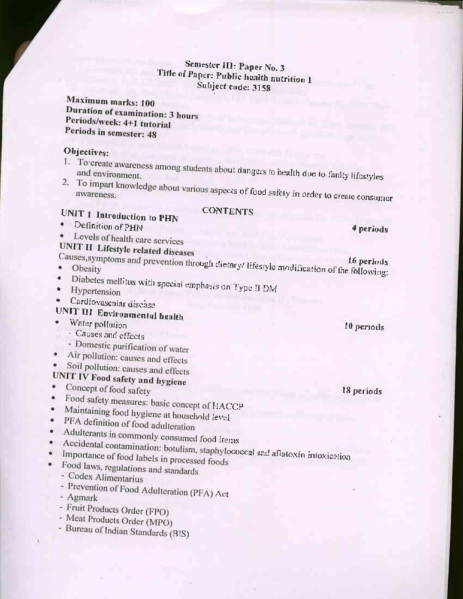# Semester III: Paper No. 3 Title of Paper: Public health nutrition 1 Subject code: 3158

Maximum marks: 100 Duration of examination: 3 hours Periods/week: 4+1 tutorial Periods in semester: 48

# Objectives:

- 1. To create awareness among students about dangers to health due to faulty lifestyles
- 2. To impart knowledge about various aspects of food safety in order to create consumer

# **CONTENTS**

- **UNIT 1 Introduction to PHN** Definition of PHN
- Levels of health care services  $\bullet$

# UNIT II Lifestyle related diseases

- Causes, symptoms and prevention through dietary/ lifestyle modification of the following:
- $\bullet$
- Diabetes mellitus with special emphasis on Type II DM · Hypertension
- 
- Cardiovascular disease

# UNIT III Environmental health

- Water pollution
- Causes and effects
- Domestic purification of water
- Air pollution: causes and effects
- Soil pollution: causes and effects

#### UNIT IV Food safety and hygiene ó.

- Concept of food safety
- Food safety measures: basic concept of HACCP ۰  $\bullet$
- Maintaining food hygiene at household level  $\bullet$
- PFA definition of food adulteration
- Adulterants in commonly consumed food items
- · Accidental contamination: botulism, staphylococcal and aflatoxin intoxication Importance of food labels in processed foods
- Food laws, regulations and standards  $\bullet$ 
	- Codex Alimentarius
		-
		- Prevention of Food Adulteration (PFA) Act - Agmark
		-
		- Fruit Products Order (FPO)
	- Meat Products Order (MPO)
	- Bureau of Indian Standards (BIS)

18 periods

10 periods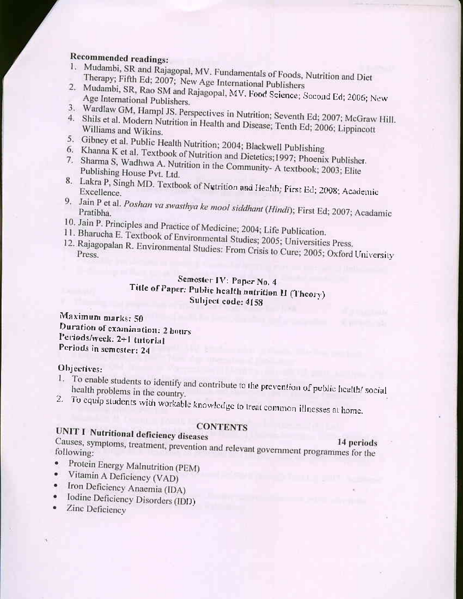# Recommended readings:

- 1. Mudambi, SR and Rajagopal, MV. Fundamentals of Foods, Nutrition and Diet Therapy; Fifth Ed; 2007; New Age International Publishers
- 2. Mudambi, SR, Rao SM and Rajagopal, MV. Food Science; Second Ed; 2006; New Age International Publishers.
- 3. Wardlaw GM, Hampl JS. Perspectives in Nutrition; Seventh Ed; 2007; McGraw Hill.
- 4. Shils et al. Modern Nutrition in Health and Disease; Tenth Ed; 2006; Lippincott Williams and Wikins.
- 5. Gibney et al. Public Health Nutrition; 2004; Blackwell Publishing
- 6. Khanna K et al. Textbook of Nutrition and Dietetics; 1997; Phoenix Publisher.
- 7. Sharma S, Wadhwa A. Nutrition in the Community-A textbook; 2003; Elite Publishing House Pvt. Ltd.
- 8. Lakra P, Singh MD. Textbook of Nutrition and Health; First Ed; 2008; Academic
- 9. Jain P et al. Poshan va swasthya ke mool siddhant (Hindi); First Ed; 2007; Acadamic
- 10. Jain P. Principles and Practice of Medicine; 2004; Life Publication.
- 11. Bharucha E. Textbook of Environmental Studies; 2005; Universities Press.
- 12. Rajagopalan R. Environmental Studies: From Crisis to Cure; 2005; Oxford University

# Semester IV: Paper No. 4 Title of Paper: Public health nutrition II (Theory) Subject code: 4158

Maximum marks: 50 Duration of examination: 2 hours Periods/week: 2+1 tutorial Periods in semester: 24

#### Objectives:

- 1. To enable students to identify and contribute to the prevention of public health/social health problems in the country.
- 2. To equip students with workable knowledge to treat common illnesses at home.

## **CONTENTS**

**UNIT I Nutritional deficiency diseases** Causes, symptoms, treatment, prevention and relevant government programmes for the 14 periods

- Protein Energy Malnutrition (PEM)
- Vitamin A Deficiency (VAD)
- · Iron Deficiency Anaemia (IDA)
- Iodine Deficiency Disorders (IDD)
- Zinc Deficiency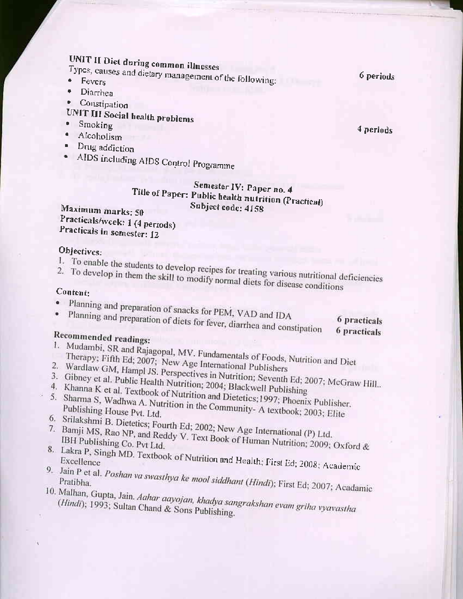UNIT II Diet during common illnesses

Types, causes and dietary management of the following:

- $\ddot{\phantom{1}}$ Diarrhea
- Constipation  $\bullet$
- 
- UNIT III Social health problems  $\bullet$  . Smoking
- · Alcoholism
- · Drug addiction
- 
- · AIDS including AIDS Control Programme

# Semester IV: Paper no. 4 Title of Paper: Public health nutrition (Practical) Subject code: 4158

Maximum marks: 50 Practicals/wcek: 1 (4 periods) Practicals in semester: 12

# Objectives:

- 
- 
- 1. To enable the students to develop recipes for treating various nutritional deficiencies 2. To develop in them the skill to modify normal diets for disease conditions

## Content:

- 
- · Planning and preparation of snacks for PEM, VAD and IDA Planning and preparation of diets for fever, diarrhea and constipation

6 practicals

# **6** practicals

# Recommended readings:

- 1. Mudambi, SR and Rajagopal, MV. Fundamentals of Foods, Nutrition and Diet
- Therapy; Fifth Ed; 2007; New Age International Publishers
- 
- 2. Wardlaw GM, Hampl JS. Perspectives in Nutrition; Seventh Ed; 2007; McGraw Hill.. 3. Gibney et al. Public Health Nutrition; 2004; Blackwell Publishing
- 
- 4. Khanna K et al. Textbook of Nutrition and Dietetics; 1997; Phoenix Publisher. 5. Sharma S, Wadhwa A. Nutrition in the Community- A textbook; 2003; Elite
- 
- 6. Srilakshmi B. Dietetics; Fourth Ed; 2002; New Age International (P) Ltd.
- 7. Bamji MS, Rao NP, and Reddy V. Text Book of Human Nutrition; 2009; Oxford & 8. Lakra P, Singh MD. Textbook of Nutrition and Health; First Ed; 2008; Academic
- 
- 9. Jain P et al. Poshan va swasthya ke mool siddhant (Hindi); First Ed; 2007; Acadamic

10. Malhan, Gupta, Jain. Aahar aayojan, khadya sangrakshan evam griha vyavastha (Hindi); 1993; Sultan Chand & Sons Publishing.

4 periods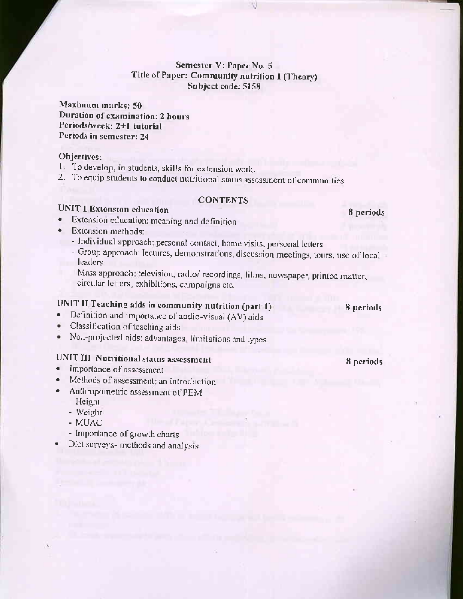#### Semester V: Paper No. 5 Title of Paper: Community nutrition 1 (Theory) Subject code: 5158

Maximum marks: 50 Duration of examination: 2 hours Periods/week: 2+1 tutorial Periods in semester: 24

#### Objectives:

- 1. To develop, in students, skills for extension work.
- 2. To equip students to conduct nutritional status assessment of communities

#### **CONTENTS**

## **UNIT 1 Extension education**

- Extension education: meaning and definition
- Extension methods:
	- Individual approach; personal contact, home visits, personal letters
	- Group approach: lectures, demonstrations, discussion meetings, tours, use of local leaders<sup>®</sup>
	- Mass approach: television, radio/ recordings, films, newspaper, printed matter, circular letters, exhibitions, campaigns etc.

# UNIT II Teaching aids in community nutrition (part 1)

- Definition and importance of audio-visual (AV) aids ٠
- Classification of teaching aids  $\bullet$
- Non-projected aids: advantages, limitations and types ۰

# UNIT III Nutritional status assessment

- Importance of assessment
- Methods of assessment: an introduction
- Anthropometric assessment of PEM
	- Height
	- Weight
	- MUAC
	- Importance of growth charts
- Diet surveys- methods and analysis ٠

## 8 periods

8 periods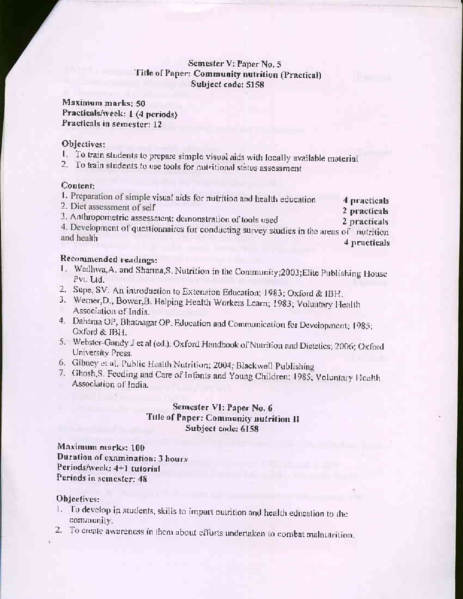#### Semester V: Paper No. 5 Title of Paper: Community nutrition (Practical) Subject code: 5158

Maximum marks; 50 Practicals/week: 1 (4 periods) Practicals in semester: 12

#### Objectives:

1. To train students to prepare simple visual aids with locally available material

2. To train students to use tools for nutritional status assessment

#### Content:

| and the state of |  |  | 1. Preparation of simple visual aids for nutrition and health education | 4 practicals |
|------------------|--|--|-------------------------------------------------------------------------|--------------|
|------------------|--|--|-------------------------------------------------------------------------|--------------|

2. Diet assessment of self

2 practicals 3. Anthropometric assessment: demonstration of tools used 2 practicals

4. Development of questionnaires for conducting survey studies in the areas of nutrition and health 4 practicals

#### Recommended readings:

- 1. Wadhwa, A. and Sharma, S. Nutrition in the Community; 2003; Elite Publishing House Pvt. Ltd.
- 2. Supe, SV. An introduction to Extension Education; 1983; Oxford & IBH.
- 3. Werner, D., Bower, B. Helping Health Workers Learn; 1983; Voluntary Health Association of India.
- 4. Dahama OP, Bhatnagar OP. Education and Communication for Development; 1985; Oxford & IBH.
- 5. Webster-Gandy J et al (ed.), Oxford Handbook of Nutrition and Dietetics; 2006; Oxford University Press.
- 6. Gibney et al. Public Health Nutrition; 2004; Blackwell Publishing
- 7. Ghosh, S. Feeding and Care of Infants and Young Children; 1985; Voluntary Health Association of India.

## Semester VI: Paper No. 6 Title of Paper: Community nutrition II Subject code: 6158

Maximum marks: 100 Duration of examination: 3 hours: Periods/week: 4+1 tutorial Periods in semester: 48

#### Objectives:

- 1. To develop in students, skills to impart nutrition and health education to the community.
- 2. To create awareness in them about efforts undertaken to combat malnutrition,